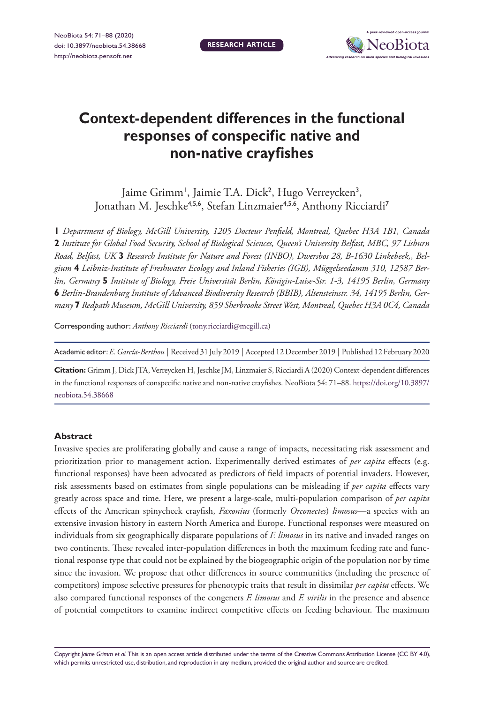**RESEARCH ARTICLE**



# **Context-dependent differences in the functional responses of conspecific native and non-native crayfishes**

Jaime Grimm<sup>1</sup>, Jaimie T.A. Dick<sup>2</sup>, Hugo Verreycken<sup>3</sup>, Jonathan M. Jeschke<sup>4,5,6</sup>, Stefan Linzmaier<sup>4,5,6</sup>, Anthony Ricciardi<sup>7</sup>

**1** *Department of Biology, McGill University, 1205 Docteur Penfield, Montreal, Quebec H3A 1B1, Canada*  **2** *Institute for Global Food Security, School of Biological Sciences, Queen's University Belfast, MBC, 97 Lisburn Road, Belfast, UK* **3** *Research Institute for Nature and Forest (INBO), Dwersbos 28, B-1630 Linkebeek,, Belgium* **4** *Leibniz-Institute of Freshwater Ecology and Inland Fisheries (IGB), Müggelseedamm 310, 12587 Berlin, Germany* **5** *Institute of Biology, Freie Universität Berlin, Königin-Luise-Str. 1-3, 14195 Berlin, Germany*  **6** *Berlin-Brandenburg Institute of Advanced Biodiversity Research (BBIB), Altensteinstr. 34, 14195 Berlin, Germany* **7** *Redpath Museum, McGill University, 859 Sherbrooke Street West, Montreal, Quebec H3A 0C4, Canada*

Corresponding author: *Anthony Ricciardi* ([tony.ricciardi@mcgill.ca](mailto:tony.ricciardi@mcgill.ca))

Academic editor:*E. García-Berthou* | Received 31 July 2019 | Accepted 12 December 2019 | Published 12 February 2020

**Citation:** Grimm J, Dick JTA, Verreycken H, Jeschke JM, Linzmaier S, Ricciardi A (2020) Context-dependent differences in the functional responses of conspecific native and non-native crayfishes. NeoBiota 54: 71–88. [https://doi.org/10.3897/](https://doi.org/10.3897/neobiota.54.38668) [neobiota.54.38668](https://doi.org/10.3897/neobiota.54.38668)

#### **Abstract**

Invasive species are proliferating globally and cause a range of impacts, necessitating risk assessment and prioritization prior to management action. Experimentally derived estimates of *per capita* effects (e.g. functional responses) have been advocated as predictors of field impacts of potential invaders. However, risk assessments based on estimates from single populations can be misleading if *per capita* effects vary greatly across space and time. Here, we present a large-scale, multi-population comparison of *per capita* effects of the American spinycheek crayfish, *Faxonius* (formerly *Orconectes*) *limosus*—a species with an extensive invasion history in eastern North America and Europe. Functional responses were measured on individuals from six geographically disparate populations of *F. limosus* in its native and invaded ranges on two continents. These revealed inter-population differences in both the maximum feeding rate and functional response type that could not be explained by the biogeographic origin of the population nor by time since the invasion. We propose that other differences in source communities (including the presence of competitors) impose selective pressures for phenotypic traits that result in dissimilar *per capita* effects. We also compared functional responses of the congeners *F. limosus* and *F. virilis* in the presence and absence of potential competitors to examine indirect competitive effects on feeding behaviour. The maximum

Copyright *Jaime Grimm et al.* This is an open access article distributed under the terms of the [Creative Commons Attribution License \(CC BY 4.0\),](http://creativecommons.org/licenses/by/4.0/) which permits unrestricted use, distribution, and reproduction in any medium, provided the original author and source are credited.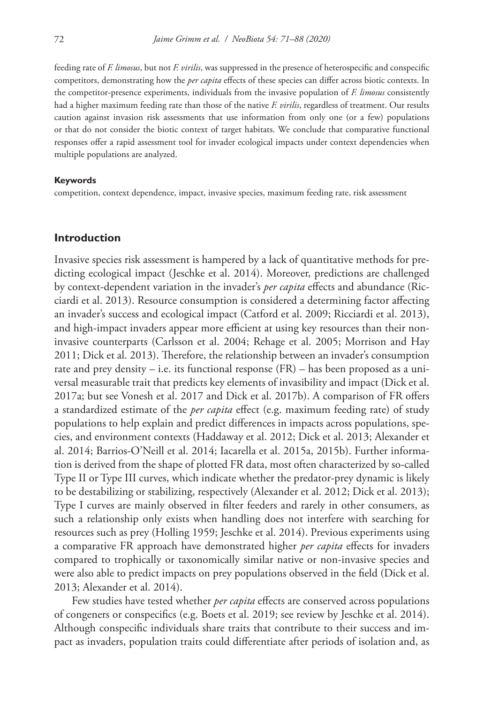feeding rate of *F. limosus*, but not *F. virilis*, was suppressed in the presence of heterospecific and conspecific competitors, demonstrating how the *per capita* effects of these species can differ across biotic contexts. In the competitor-presence experiments, individuals from the invasive population of *F. limosus* consistently had a higher maximum feeding rate than those of the native *F. virilis*, regardless of treatment. Our results caution against invasion risk assessments that use information from only one (or a few) populations or that do not consider the biotic context of target habitats. We conclude that comparative functional responses offer a rapid assessment tool for invader ecological impacts under context dependencies when multiple populations are analyzed.

#### **Keywords**

competition, context dependence, impact, invasive species, maximum feeding rate, risk assessment

## **Introduction**

Invasive species risk assessment is hampered by a lack of quantitative methods for predicting ecological impact (Jeschke et al. 2014). Moreover, predictions are challenged by context-dependent variation in the invader's *per capita* effects and abundance (Ricciardi et al. 2013). Resource consumption is considered a determining factor affecting an invader's success and ecological impact (Catford et al. 2009; Ricciardi et al. 2013), and high-impact invaders appear more efficient at using key resources than their noninvasive counterparts (Carlsson et al. 2004; Rehage et al. 2005; Morrison and Hay 2011; Dick et al. 2013). Therefore, the relationship between an invader's consumption rate and prey density – i.e. its functional response (FR) – has been proposed as a universal measurable trait that predicts key elements of invasibility and impact (Dick et al. 2017a; but see Vonesh et al. 2017 and Dick et al. 2017b). A comparison of FR offers a standardized estimate of the *per capita* effect (e.g. maximum feeding rate) of study populations to help explain and predict differences in impacts across populations, species, and environment contexts (Haddaway et al. 2012; Dick et al. 2013; Alexander et al. 2014; Barrios-O'Neill et al. 2014; Iacarella et al. 2015a, 2015b). Further information is derived from the shape of plotted FR data, most often characterized by so-called Type II or Type III curves, which indicate whether the predator-prey dynamic is likely to be destabilizing or stabilizing, respectively (Alexander et al. 2012; Dick et al. 2013); Type I curves are mainly observed in filter feeders and rarely in other consumers, as such a relationship only exists when handling does not interfere with searching for resources such as prey (Holling 1959; Jeschke et al. 2014). Previous experiments using a comparative FR approach have demonstrated higher *per capita* effects for invaders compared to trophically or taxonomically similar native or non-invasive species and were also able to predict impacts on prey populations observed in the field (Dick et al. 2013; Alexander et al. 2014).

Few studies have tested whether *per capita* effects are conserved across populations of congeners or conspecifics (e.g. Boets et al. 2019; see review by Jeschke et al. 2014). Although conspecific individuals share traits that contribute to their success and impact as invaders, population traits could differentiate after periods of isolation and, as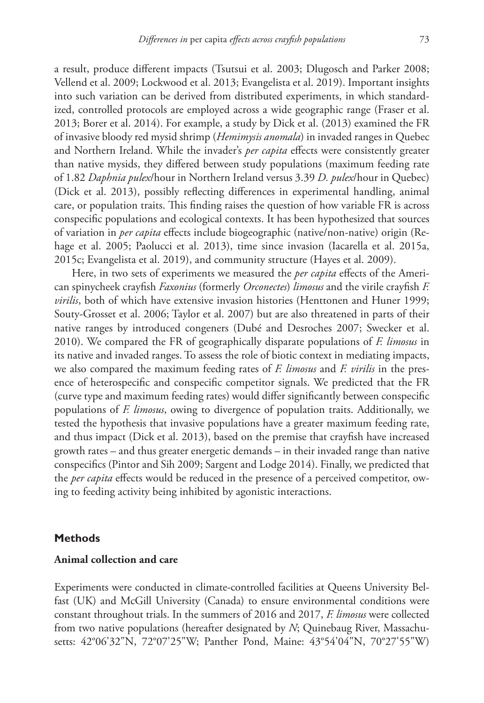a result, produce different impacts (Tsutsui et al. 2003; Dlugosch and Parker 2008; Vellend et al. 2009; Lockwood et al. 2013; Evangelista et al. 2019). Important insights into such variation can be derived from distributed experiments, in which standardized, controlled protocols are employed across a wide geographic range (Fraser et al. 2013; Borer et al. 2014). For example, a study by Dick et al. (2013) examined the FR of invasive bloody red mysid shrimp (*Hemimysis anomala*) in invaded ranges in Quebec and Northern Ireland. While the invader's *per capita* effects were consistently greater than native mysids, they differed between study populations (maximum feeding rate of 1.82 *Daphnia pulex*/hour in Northern Ireland versus 3.39 *D. pulex*/hour in Quebec) (Dick et al. 2013), possibly reflecting differences in experimental handling, animal care, or population traits. This finding raises the question of how variable FR is across conspecific populations and ecological contexts. It has been hypothesized that sources of variation in *per capita* effects include biogeographic (native/non-native) origin (Rehage et al. 2005; Paolucci et al. 2013), time since invasion (Iacarella et al. 2015a, 2015c; Evangelista et al. 2019), and community structure (Hayes et al. 2009).

Here, in two sets of experiments we measured the *per capita* effects of the American spinycheek crayfish *Faxonius* (formerly *Orconectes*) *limosus* and the virile crayfish *F. virilis*, both of which have extensive invasion histories (Henttonen and Huner 1999; Souty-Grosset et al. 2006; Taylor et al. 2007) but are also threatened in parts of their native ranges by introduced congeners (Dubé and Desroches 2007; Swecker et al. 2010). We compared the FR of geographically disparate populations of *F. limosus* in its native and invaded ranges. To assess the role of biotic context in mediating impacts, we also compared the maximum feeding rates of *F. limosus* and *F. virilis* in the presence of heterospecific and conspecific competitor signals. We predicted that the FR (curve type and maximum feeding rates) would differ significantly between conspecific populations of *F. limosus*, owing to divergence of population traits. Additionally, we tested the hypothesis that invasive populations have a greater maximum feeding rate, and thus impact (Dick et al. 2013), based on the premise that crayfish have increased growth rates – and thus greater energetic demands – in their invaded range than native conspecifics (Pintor and Sih 2009; Sargent and Lodge 2014). Finally, we predicted that the *per capita* effects would be reduced in the presence of a perceived competitor, owing to feeding activity being inhibited by agonistic interactions.

#### **Methods**

#### **Animal collection and care**

Experiments were conducted in climate-controlled facilities at Queens University Belfast (UK) and McGill University (Canada) to ensure environmental conditions were constant throughout trials. In the summers of 2016 and 2017, *F. limosus* were collected from two native populations (hereafter designated by *N*; Quinebaug River, Massachusetts: 42°06'32"N, 72°07'25"W; Panther Pond, Maine: 43°54'04"N, 70°27'55"W)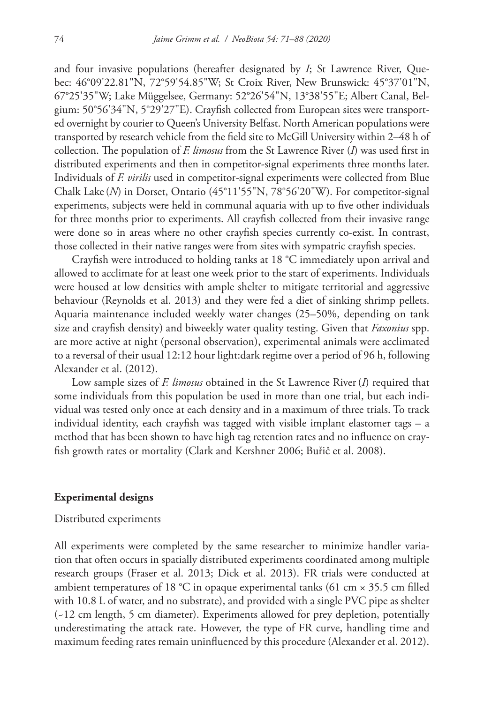and four invasive populations (hereafter designated by *I*; St Lawrence River, Quebec: 46°09'22.81"N, 72°59'54.85"W; St Croix River, New Brunswick: 45°37'01"N, 67°25'35"W; Lake Müggelsee, Germany: 52°26'54"N, 13°38'55"E; Albert Canal, Belgium: 50°56'34"N, 5°29'27"E). Crayfish collected from European sites were transported overnight by courier to Queen's University Belfast. North American populations were transported by research vehicle from the field site to McGill University within 2–48 h of collection. The population of *F. limosus* from the St Lawrence River (*I*) was used first in distributed experiments and then in competitor-signal experiments three months later. Individuals of *F. virilis* used in competitor-signal experiments were collected from Blue Chalk Lake(*N*) in Dorset, Ontario (45°11'55"N, 78°56'20"W). For competitor-signal experiments, subjects were held in communal aquaria with up to five other individuals for three months prior to experiments. All crayfish collected from their invasive range were done so in areas where no other crayfish species currently co-exist. In contrast, those collected in their native ranges were from sites with sympatric crayfish species.

Crayfish were introduced to holding tanks at 18 °C immediately upon arrival and allowed to acclimate for at least one week prior to the start of experiments. Individuals were housed at low densities with ample shelter to mitigate territorial and aggressive behaviour (Reynolds et al. 2013) and they were fed a diet of sinking shrimp pellets. Aquaria maintenance included weekly water changes (25–50%, depending on tank size and crayfish density) and biweekly water quality testing. Given that *Faxonius* spp. are more active at night (personal observation), experimental animals were acclimated to a reversal of their usual 12:12 hour light:dark regime over a period of 96 h, following Alexander et al. (2012).

Low sample sizes of *F. limosus* obtained in the St Lawrence River(*I*) required that some individuals from this population be used in more than one trial, but each individual was tested only once at each density and in a maximum of three trials. To track individual identity, each crayfish was tagged with visible implant elastomer tags – a method that has been shown to have high tag retention rates and no influence on crayfish growth rates or mortality (Clark and Kershner 2006; Buřič et al. 2008).

#### **Experimental designs**

#### Distributed experiments

All experiments were completed by the same researcher to minimize handler variation that often occurs in spatially distributed experiments coordinated among multiple research groups (Fraser et al. 2013; Dick et al. 2013). FR trials were conducted at ambient temperatures of 18 °C in opaque experimental tanks (61 cm  $\times$  35.5 cm filled with 10.8 L of water, and no substrate), and provided with a single PVC pipe as shelter (~12 cm length, 5 cm diameter). Experiments allowed for prey depletion, potentially underestimating the attack rate. However, the type of FR curve, handling time and maximum feeding rates remain uninfluenced by this procedure (Alexander et al. 2012).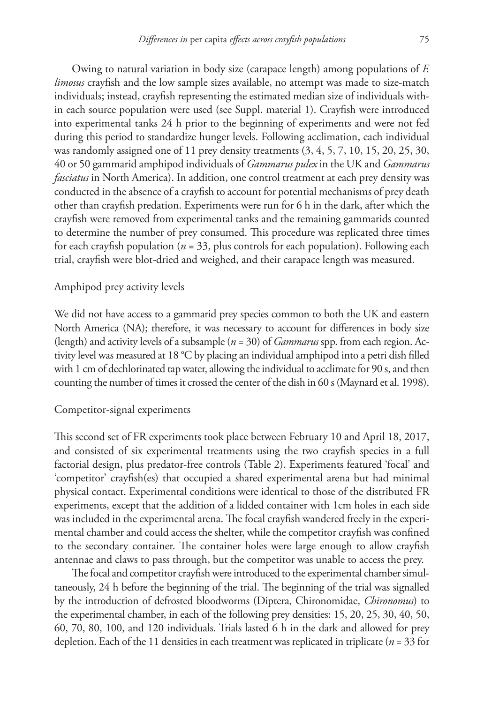Owing to natural variation in body size (carapace length) among populations of *F. limosus* crayfish and the low sample sizes available, no attempt was made to size-match individuals; instead, crayfish representing the estimated median size of individuals within each source population were used (see Suppl. material 1). Crayfish were introduced into experimental tanks 24 h prior to the beginning of experiments and were not fed during this period to standardize hunger levels. Following acclimation, each individual was randomly assigned one of 11 prey density treatments  $(3, 4, 5, 7, 10, 15, 20, 25, 30,$ 40 or 50 gammarid amphipod individuals of *Gammarus pulex* in the UK and *Gammarus fasciatus* in North America). In addition, one control treatment at each prey density was conducted in the absence of a crayfish to account for potential mechanisms of prey death other than crayfish predation. Experiments were run for 6 h in the dark, after which the crayfish were removed from experimental tanks and the remaining gammarids counted to determine the number of prey consumed. This procedure was replicated three times for each crayfish population (*n* = 33, plus controls for each population). Following each trial, crayfish were blot-dried and weighed, and their carapace length was measured.

#### Amphipod prey activity levels

We did not have access to a gammarid prey species common to both the UK and eastern North America (NA); therefore, it was necessary to account for differences in body size (length) and activity levels of a subsample (*n* = 30) of *Gammarus* spp. from each region. Activity level was measured at 18 °C by placing an individual amphipod into a petri dish filled with 1 cm of dechlorinated tap water, allowing the individual to acclimate for 90 s, and then counting the number of times it crossed the center of the dish in 60 s (Maynard et al. 1998).

## Competitor-signal experiments

This second set of FR experiments took place between February 10 and April 18, 2017, and consisted of six experimental treatments using the two crayfish species in a full factorial design, plus predator-free controls (Table 2). Experiments featured 'focal' and 'competitor' crayfish(es) that occupied a shared experimental arena but had minimal physical contact. Experimental conditions were identical to those of the distributed FR experiments, except that the addition of a lidded container with 1cm holes in each side was included in the experimental arena. The focal crayfish wandered freely in the experimental chamber and could access the shelter, while the competitor crayfish was confined to the secondary container. The container holes were large enough to allow crayfish antennae and claws to pass through, but the competitor was unable to access the prey.

The focal and competitor crayfish were introduced to the experimental chamber simultaneously, 24 h before the beginning of the trial. The beginning of the trial was signalled by the introduction of defrosted bloodworms (Diptera, Chironomidae, *Chironomus*) to the experimental chamber, in each of the following prey densities: 15, 20, 25, 30, 40, 50, 60, 70, 80, 100, and 120 individuals. Trials lasted 6 h in the dark and allowed for prey depletion. Each of the 11 densities in each treatment was replicated in triplicate (*n* = 33 for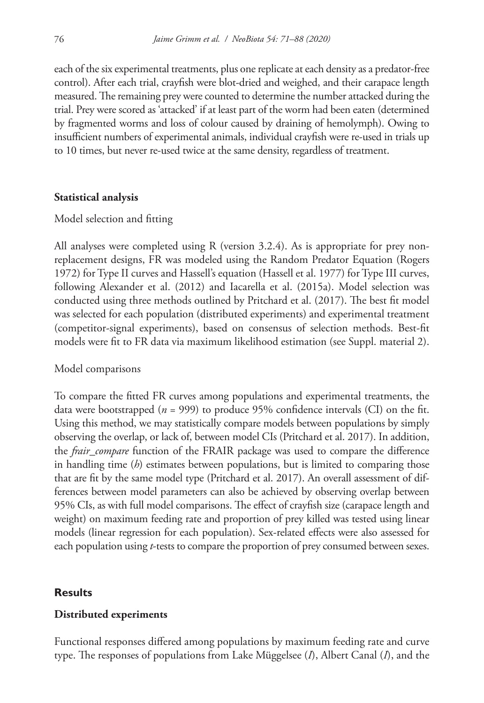each of the six experimental treatments, plus one replicate at each density as a predator-free control). After each trial, crayfish were blot-dried and weighed, and their carapace length measured. The remaining prey were counted to determine the number attacked during the trial. Prey were scored as 'attacked' if at least part of the worm had been eaten (determined by fragmented worms and loss of colour caused by draining of hemolymph). Owing to insufficient numbers of experimental animals, individual crayfish were re-used in trials up to 10 times, but never re-used twice at the same density, regardless of treatment.

#### **Statistical analysis**

#### Model selection and fitting

All analyses were completed using R (version 3.2.4). As is appropriate for prey nonreplacement designs, FR was modeled using the Random Predator Equation (Rogers 1972) for Type II curves and Hassell's equation (Hassell et al. 1977) for Type III curves, following Alexander et al. (2012) and Iacarella et al. (2015a). Model selection was conducted using three methods outlined by Pritchard et al. (2017). The best fit model was selected for each population (distributed experiments) and experimental treatment (competitor-signal experiments), based on consensus of selection methods. Best-fit models were fit to FR data via maximum likelihood estimation (see Suppl. material 2).

#### Model comparisons

To compare the fitted FR curves among populations and experimental treatments, the data were bootstrapped (*n* = 999) to produce 95% confidence intervals (CI) on the fit. Using this method, we may statistically compare models between populations by simply observing the overlap, or lack of, between model CIs (Pritchard et al. 2017). In addition, the *frair\_compare* function of the FRAIR package was used to compare the difference in handling time (*h*) estimates between populations, but is limited to comparing those that are fit by the same model type (Pritchard et al. 2017). An overall assessment of differences between model parameters can also be achieved by observing overlap between 95% CIs, as with full model comparisons. The effect of crayfish size (carapace length and weight) on maximum feeding rate and proportion of prey killed was tested using linear models (linear regression for each population). Sex-related effects were also assessed for each population using *t*-tests to compare the proportion of prey consumed between sexes.

#### **Results**

#### **Distributed experiments**

Functional responses differed among populations by maximum feeding rate and curve type. The responses of populations from Lake Müggelsee (*I*), Albert Canal (*I*), and the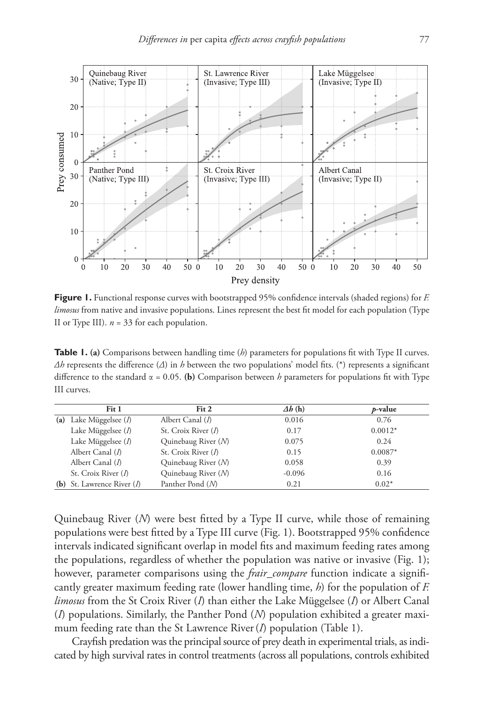

**Figure 1.** Functional response curves with bootstrapped 95% confidence intervals (shaded regions) for *F. limosus* from native and invasive populations. Lines represent the best fit model for each population (Type II or Type III). *n* = 33 for each population.

**Table 1. (a)** Comparisons between handling time (*h*) parameters for populations fit with Type II curves. *Δh* represents the difference (*Δ*) in *h* between the two populations' model fits. (\*) represents a significant difference to the standard  $\alpha = 0.05$ . (b) Comparison between *h* parameters for populations fit with Type III curves.

|     | Fit 1                    | Fit 2                 | $\Delta b$ (h) | p-value   |
|-----|--------------------------|-----------------------|----------------|-----------|
|     | (a) Lake Müggelsee $(I)$ | Albert Canal $(I)$    | 0.016          | 0.76      |
|     | Lake Müggelsee $(I)$     | St. Croix River $(I)$ | 0.17           | $0.0012*$ |
|     | Lake Müggelsee $(I)$     | Quinebaug River (N)   | 0.075          | 0.24      |
|     | Albert Canal (1)         | St. Croix River (1)   | 0.15           | $0.0087*$ |
|     | Albert Canal (1)         | Quinebaug River (N)   | 0.058          | 0.39      |
|     | St. Croix River $(I)$    | Quinebaug River (N)   | $-0.096$       | 0.16      |
| (b) | St. Lawrence River (1)   | Panther Pond (N)      | 0.21           | $0.02*$   |

Quinebaug River (*N*) were best fitted by a Type II curve, while those of remaining populations were best fitted by a Type III curve (Fig. 1). Bootstrapped 95% confidence intervals indicated significant overlap in model fits and maximum feeding rates among the populations, regardless of whether the population was native or invasive (Fig. 1); however, parameter comparisons using the *frair\_compare* function indicate a significantly greater maximum feeding rate (lower handling time, *h*) for the population of *F. limosus* from the St Croix River (*I*) than either the Lake Müggelsee (*I*) or Albert Canal (*I*) populations. Similarly, the Panther Pond (*N*) population exhibited a greater maximum feeding rate than the St Lawrence River (*I*) population (Table 1).

Crayfish predation was the principal source of prey death in experimental trials, as indicated by high survival rates in control treatments (across all populations, controls exhibited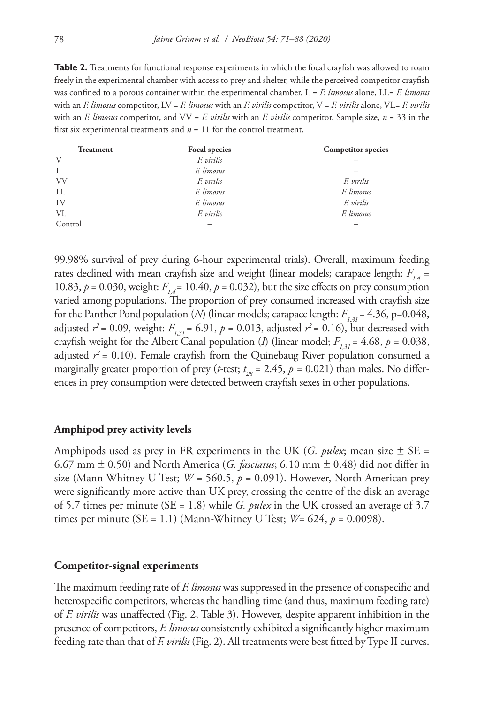**Table 2.** Treatments for functional response experiments in which the focal crayfish was allowed to roam freely in the experimental chamber with access to prey and shelter, while the perceived competitor crayfish was confined to a porous container within the experimental chamber. L = *F. limosus* alone, LL= *F. limosus* with an *F. limosus* competitor, LV = *F. limosus* with an *F. virilis* competitor, V = *F. virilis* alone, VL= *F. virilis* with an *F. limosus* competitor, and VV = *F. virilis* with an *F. virilis* competitor. Sample size, *n* = 33 in the first six experimental treatments and  $n = 11$  for the control treatment.

| <b>Treatment</b> | Focal species | <b>Competitor</b> species |
|------------------|---------------|---------------------------|
| V                | F. virilis    |                           |
| L                | F. limosus    |                           |
| <b>VV</b>        | F. virilis    | F. virilis                |
| LL               | F. limosus    | F. limosus                |
| LV               | F. limosus    | F. virilis                |
| VL               | F. virilis    | F. limosus                |
| Control          |               |                           |

99.98% survival of prey during 6-hour experimental trials). Overall, maximum feeding rates declined with mean crayfish size and weight (linear models; carapace length:  $F_{14}$  = 10.83,  $p = 0.030$ , weight:  $F_{14} = 10.40$ ,  $p = 0.032$ ), but the size effects on prey consumption varied among populations. The proportion of prey consumed increased with crayfish size for the Panther Pond population (*N*) (linear models; carapace length:  $F_{1,31} = 4.36$ , p=0.048, adjusted  $r^2$  = 0.09, weight:  $F_{1,31}$  = 6.91,  $p$  = 0.013, adjusted  $r^2$  = 0.16), but decreased with crayfish weight for the Albert Canal population (*I*) (linear model;  $F_{1,31} = 4.68$ ,  $p = 0.038$ , adjusted  $r^2$  = 0.10). Female crayfish from the Quinebaug River population consumed a marginally greater proportion of prey (*t*-test;  $t_{28} = 2.45$ ,  $p = 0.021$ ) than males. No differences in prey consumption were detected between crayfish sexes in other populations.

#### **Amphipod prey activity levels**

Amphipods used as prey in FR experiments in the UK (*G. pulex*; mean size  $\pm$  SE = 6.67 mm ± 0.50) and North America (*G. fasciatus*; 6.10 mm ± 0.48) did not differ in size (Mann-Whitney U Test;  $W = 560.5$ ,  $p = 0.091$ ). However, North American prey were significantly more active than UK prey, crossing the centre of the disk an average of 5.7 times per minute (SE = 1.8) while *G. pulex* in the UK crossed an average of 3.7 times per minute (SE = 1.1) (Mann-Whitney U Test;  $W = 624$ ,  $p = 0.0098$ ).

#### **Competitor-signal experiments**

The maximum feeding rate of *F. limosus* was suppressed in the presence of conspecific and heterospecific competitors, whereas the handling time (and thus, maximum feeding rate) of *F. virilis* was unaffected (Fig. 2, Table 3). However, despite apparent inhibition in the presence of competitors, *F. limosus* consistently exhibited a significantly higher maximum feeding rate than that of *F. virilis* (Fig. 2). All treatments were best fitted by Type II curves.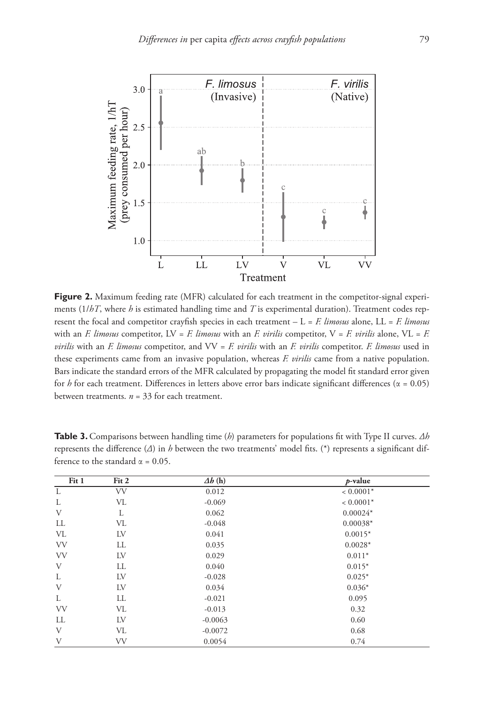

**Figure 2.** Maximum feeding rate (MFR) calculated for each treatment in the competitor-signal experiments (1/*hT*, where *h* is estimated handling time and *T* is experimental duration). Treatment codes represent the focal and competitor crayfish species in each treatment – L = *F. limosus* alone, LL = *F. limosus* with an *F. limosus* competitor, LV = *F. limosus* with an *F. virilis* competitor, V = *F. virilis* alone, VL = *F. virilis* with an *F. limosus* competitor, and VV = *F. virilis* with an *F. virilis* competitor. *F. limosus* used in these experiments came from an invasive population, whereas *F. virilis* came from a native population. Bars indicate the standard errors of the MFR calculated by propagating the model fit standard error given for *h* for each treatment. Differences in letters above error bars indicate significant differences (α = 0.05) between treatments. *n* = 33 for each treatment.

| Fit 1     | Fit 2     | $\Delta b$ (h) | $p$ -value  |
|-----------|-----------|----------------|-------------|
| L         | <b>VV</b> | 0.012          | $< 0.0001*$ |
| L         | VL        | $-0.069$       | $< 0.0001*$ |
| V         | L         | 0.062          | $0.00024*$  |
| LL        | VL        | $-0.048$       | $0.00038*$  |
| VL        | LV        | 0.041          | $0.0015*$   |
| <b>VV</b> | LL        | 0.035          | $0.0028*$   |
| <b>VV</b> | LV        | 0.029          | $0.011*$    |
| V         | LL        | 0.040          | $0.015*$    |
| L         | LV        | $-0.028$       | $0.025*$    |
| V         | LV        | 0.034          | $0.036*$    |
| L         | LL        | $-0.021$       | 0.095       |
| <b>VV</b> | VL        | $-0.013$       | 0.32        |
| LL        | LV        | $-0.0063$      | 0.60        |
| V         | VL        | $-0.0072$      | 0.68        |
| V         | <b>VV</b> | 0.0054         | 0.74        |

**Table 3.** Comparisons between handling time (*h*) parameters for populations fit with Type II curves. *Δh* represents the difference (*Δ*) in *h* between the two treatments' model fits. (\*) represents a significant difference to the standard  $\alpha = 0.05$ .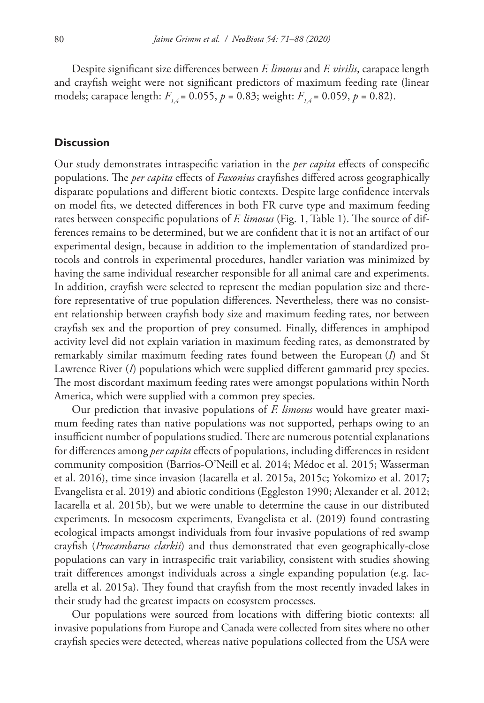Despite significant size differences between *F. limosus* and *F. virilis*, carapace length and crayfish weight were not significant predictors of maximum feeding rate (linear models; carapace length:  $F_{14} = 0.055$ ,  $p = 0.83$ ; weight:  $F_{14} = 0.059$ ,  $p = 0.82$ ).

#### **Discussion**

Our study demonstrates intraspecific variation in the *per capita* effects of conspecific populations. The *per capita* effects of *Faxonius* crayfishes differed across geographically disparate populations and different biotic contexts. Despite large confidence intervals on model fits, we detected differences in both FR curve type and maximum feeding rates between conspecific populations of *F. limosus* (Fig. 1, Table 1). The source of differences remains to be determined, but we are confident that it is not an artifact of our experimental design, because in addition to the implementation of standardized protocols and controls in experimental procedures, handler variation was minimized by having the same individual researcher responsible for all animal care and experiments. In addition, crayfish were selected to represent the median population size and therefore representative of true population differences. Nevertheless, there was no consistent relationship between crayfish body size and maximum feeding rates, nor between crayfish sex and the proportion of prey consumed. Finally, differences in amphipod activity level did not explain variation in maximum feeding rates, as demonstrated by remarkably similar maximum feeding rates found between the European (*I*) and St Lawrence River (*I*) populations which were supplied different gammarid prey species. The most discordant maximum feeding rates were amongst populations within North America, which were supplied with a common prey species.

Our prediction that invasive populations of *F. limosus* would have greater maximum feeding rates than native populations was not supported, perhaps owing to an insufficient number of populations studied. There are numerous potential explanations for differences among *per capita* effects of populations, including differences in resident community composition (Barrios-O'Neill et al. 2014; Médoc et al. 2015; Wasserman et al. 2016), time since invasion (Iacarella et al. 2015a, 2015c; Yokomizo et al. 2017; Evangelista et al. 2019) and abiotic conditions (Eggleston 1990; Alexander et al. 2012; Iacarella et al. 2015b), but we were unable to determine the cause in our distributed experiments. In mesocosm experiments, Evangelista et al. (2019) found contrasting ecological impacts amongst individuals from four invasive populations of red swamp crayfish (*Procambarus clarkii*) and thus demonstrated that even geographically-close populations can vary in intraspecific trait variability, consistent with studies showing trait differences amongst individuals across a single expanding population (e.g. Iacarella et al. 2015a). They found that crayfish from the most recently invaded lakes in their study had the greatest impacts on ecosystem processes.

Our populations were sourced from locations with differing biotic contexts: all invasive populations from Europe and Canada were collected from sites where no other crayfish species were detected, whereas native populations collected from the USA were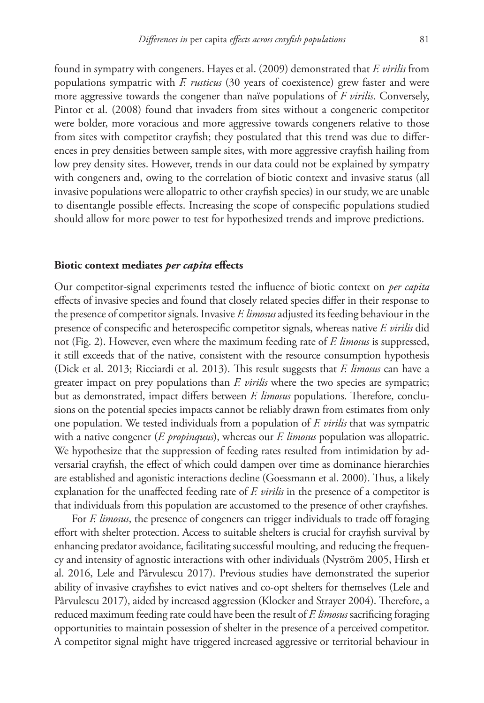found in sympatry with congeners. Hayes et al. (2009) demonstrated that *F. virilis* from populations sympatric with *F. rusticus* (30 years of coexistence) grew faster and were more aggressive towards the congener than naïve populations of *F virilis*. Conversely, Pintor et al. (2008) found that invaders from sites without a congeneric competitor were bolder, more voracious and more aggressive towards congeners relative to those from sites with competitor crayfish; they postulated that this trend was due to differences in prey densities between sample sites, with more aggressive crayfish hailing from low prey density sites. However, trends in our data could not be explained by sympatry with congeners and, owing to the correlation of biotic context and invasive status (all invasive populations were allopatric to other crayfish species) in our study, we are unable to disentangle possible effects. Increasing the scope of conspecific populations studied should allow for more power to test for hypothesized trends and improve predictions.

#### **Biotic context mediates** *per capita* **effects**

Our competitor-signal experiments tested the influence of biotic context on *per capita*  effects of invasive species and found that closely related species differ in their response to the presence of competitor signals. Invasive *F. limosus* adjusted its feeding behaviour in the presence of conspecific and heterospecific competitor signals, whereas native *F. virilis* did not (Fig. 2). However, even where the maximum feeding rate of *F. limosus* is suppressed, it still exceeds that of the native, consistent with the resource consumption hypothesis (Dick et al. 2013; Ricciardi et al. 2013). This result suggests that *F. limosus* can have a greater impact on prey populations than *F. virilis* where the two species are sympatric; but as demonstrated, impact differs between *F. limosus* populations. Therefore, conclusions on the potential species impacts cannot be reliably drawn from estimates from only one population. We tested individuals from a population of *F. virilis* that was sympatric with a native congener (*F. propinquus*), whereas our *F. limosus* population was allopatric. We hypothesize that the suppression of feeding rates resulted from intimidation by adversarial crayfish, the effect of which could dampen over time as dominance hierarchies are established and agonistic interactions decline (Goessmann et al. 2000). Thus, a likely explanation for the unaffected feeding rate of *F. virilis* in the presence of a competitor is that individuals from this population are accustomed to the presence of other crayfishes.

For *F. limosus*, the presence of congeners can trigger individuals to trade off foraging effort with shelter protection. Access to suitable shelters is crucial for crayfish survival by enhancing predator avoidance, facilitating successful moulting, and reducing the frequency and intensity of agnostic interactions with other individuals (Nyström 2005, Hirsh et al. 2016, Lele and Pârvulescu 2017). Previous studies have demonstrated the superior ability of invasive crayfishes to evict natives and co-opt shelters for themselves (Lele and Pârvulescu 2017), aided by increased aggression (Klocker and Strayer 2004). Therefore, a reduced maximum feeding rate could have been the result of *F. limosus* sacrificing foraging opportunities to maintain possession of shelter in the presence of a perceived competitor. A competitor signal might have triggered increased aggressive or territorial behaviour in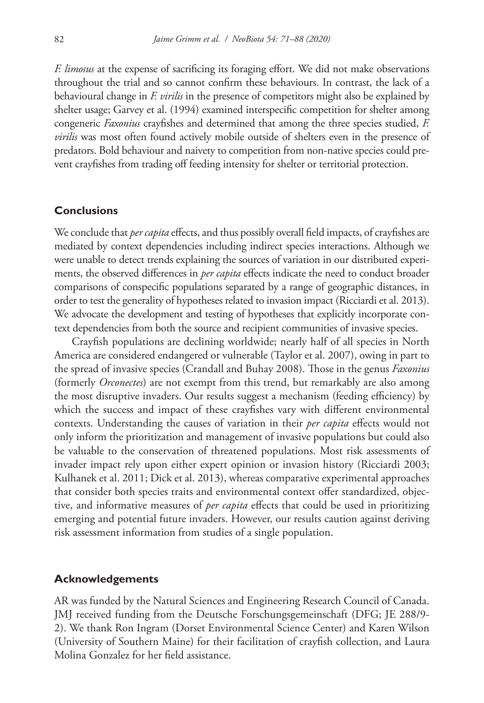*F. limosus* at the expense of sacrificing its foraging effort. We did not make observations throughout the trial and so cannot confirm these behaviours. In contrast, the lack of a behavioural change in *F. virilis* in the presence of competitors might also be explained by shelter usage; Garvey et al. (1994) examined interspecific competition for shelter among congeneric *Faxonius* crayfishes and determined that among the three species studied, *F. virilis* was most often found actively mobile outside of shelters even in the presence of predators. Bold behaviour and naivety to competition from non-native species could prevent crayfishes from trading off feeding intensity for shelter or territorial protection.

#### **Conclusions**

We conclude that *per capita* effects, and thus possibly overall field impacts, of crayfishes are mediated by context dependencies including indirect species interactions. Although we were unable to detect trends explaining the sources of variation in our distributed experiments, the observed differences in *per capita* effects indicate the need to conduct broader comparisons of conspecific populations separated by a range of geographic distances, in order to test the generality of hypotheses related to invasion impact (Ricciardi et al. 2013). We advocate the development and testing of hypotheses that explicitly incorporate context dependencies from both the source and recipient communities of invasive species.

Crayfish populations are declining worldwide; nearly half of all species in North America are considered endangered or vulnerable (Taylor et al. 2007), owing in part to the spread of invasive species (Crandall and Buhay 2008). Those in the genus *Faxonius*  (formerly *Orconectes*) are not exempt from this trend, but remarkably are also among the most disruptive invaders. Our results suggest a mechanism (feeding efficiency) by which the success and impact of these crayfishes vary with different environmental contexts. Understanding the causes of variation in their *per capita* effects would not only inform the prioritization and management of invasive populations but could also be valuable to the conservation of threatened populations. Most risk assessments of invader impact rely upon either expert opinion or invasion history (Ricciardi 2003; Kulhanek et al. 2011; Dick et al. 2013), whereas comparative experimental approaches that consider both species traits and environmental context offer standardized, objective, and informative measures of *per capita* effects that could be used in prioritizing emerging and potential future invaders. However, our results caution against deriving risk assessment information from studies of a single population.

# **Acknowledgements**

AR was funded by the Natural Sciences and Engineering Research Council of Canada. JMJ received funding from the Deutsche Forschungsgemeinschaft (DFG; JE 288/9- 2). We thank Ron Ingram (Dorset Environmental Science Center) and Karen Wilson (University of Southern Maine) for their facilitation of crayfish collection, and Laura Molina Gonzalez for her field assistance.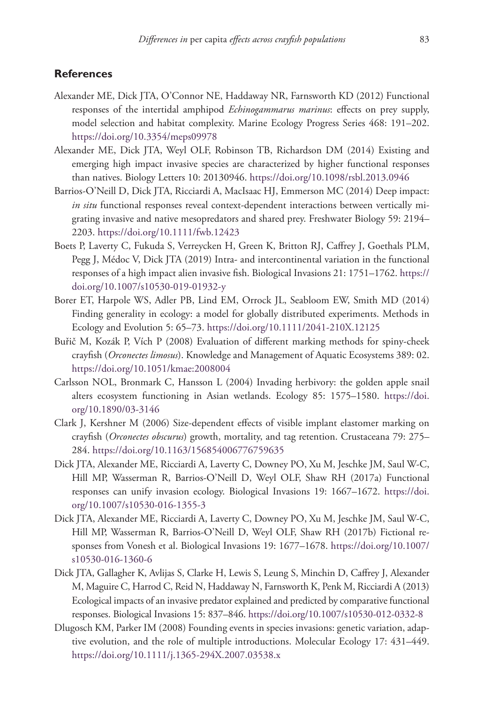#### **References**

- Alexander ME, Dick JTA, O'Connor NE, Haddaway NR, Farnsworth KD (2012) Functional responses of the intertidal amphipod *Echinogammarus marinus*: effects on prey supply, model selection and habitat complexity. Marine Ecology Progress Series 468: 191–202. <https://doi.org/10.3354/meps09978>
- Alexander ME, Dick JTA, Weyl OLF, Robinson TB, Richardson DM (2014) Existing and emerging high impact invasive species are characterized by higher functional responses than natives. Biology Letters 10: 20130946. <https://doi.org/10.1098/rsbl.2013.0946>
- Barrios-O'Neill D, Dick JTA, Ricciardi A, MacIsaac HJ, Emmerson MC (2014) Deep impact: *in situ* functional responses reveal context-dependent interactions between vertically migrating invasive and native mesopredators and shared prey. Freshwater Biology 59: 2194– 2203.<https://doi.org/10.1111/fwb.12423>
- Boets P, Laverty C, Fukuda S, Verreycken H, Green K, Britton RJ, Caffrey J, Goethals PLM, Pegg J, Médoc V, Dick JTA (2019) Intra- and intercontinental variation in the functional responses of a high impact alien invasive fish. Biological Invasions 21: 1751–1762. [https://](https://doi.org/10.1007/s10530-019-01932-y) [doi.org/10.1007/s10530-019-01932-y](https://doi.org/10.1007/s10530-019-01932-y)
- Borer ET, Harpole WS, Adler PB, Lind EM, Orrock JL, Seabloom EW, Smith MD (2014) Finding generality in ecology: a model for globally distributed experiments. Methods in Ecology and Evolution 5: 65–73.<https://doi.org/10.1111/2041-210X.12125>
- Buřič M, Kozák P, Vích P (2008) Evaluation of different marking methods for spiny-cheek crayfish (*Orconectes limosus*). Knowledge and Management of Aquatic Ecosystems 389: 02. <https://doi.org/10.1051/kmae:2008004>
- Carlsson NOL, Bronmark C, Hansson L (2004) Invading herbivory: the golden apple snail alters ecosystem functioning in Asian wetlands. Ecology 85: 1575–1580. [https://doi.](https://doi.org/10.1890/03-3146) [org/10.1890/03-3146](https://doi.org/10.1890/03-3146)
- Clark J, Kershner M (2006) Size-dependent effects of visible implant elastomer marking on crayfish (*Orconectes obscurus*) growth, mortality, and tag retention. Crustaceana 79: 275– 284.<https://doi.org/10.1163/156854006776759635>
- Dick JTA, Alexander ME, Ricciardi A, Laverty C, Downey PO, Xu M, Jeschke JM, Saul W-C, Hill MP, Wasserman R, Barrios-O'Neill D, Weyl OLF, Shaw RH (2017a) Functional responses can unify invasion ecology. Biological Invasions 19: 1667–1672. [https://doi.](https://doi.org/10.1007/s10530-016-1355-3) [org/10.1007/s10530-016-1355-3](https://doi.org/10.1007/s10530-016-1355-3)
- Dick JTA, Alexander ME, Ricciardi A, Laverty C, Downey PO, Xu M, Jeschke JM, Saul W-C, Hill MP, Wasserman R, Barrios-O'Neill D, Weyl OLF, Shaw RH (2017b) Fictional responses from Vonesh et al. Biological Invasions 19: 1677–1678. [https://doi.org/10.1007/](https://doi.org/10.1007/s10530-016-1360-6) [s10530-016-1360-6](https://doi.org/10.1007/s10530-016-1360-6)
- Dick JTA, Gallagher K, Avlijas S, Clarke H, Lewis S, Leung S, Minchin D, Caffrey J, Alexander M, Maguire C, Harrod C, Reid N, Haddaway N, Farnsworth K, Penk M, Ricciardi A (2013) Ecological impacts of an invasive predator explained and predicted by comparative functional responses. Biological Invasions 15: 837–846.<https://doi.org/10.1007/s10530-012-0332-8>
- Dlugosch KM, Parker IM (2008) Founding events in species invasions: genetic variation, adaptive evolution, and the role of multiple introductions. Molecular Ecology 17: 431–449. <https://doi.org/10.1111/j.1365-294X.2007.03538.x>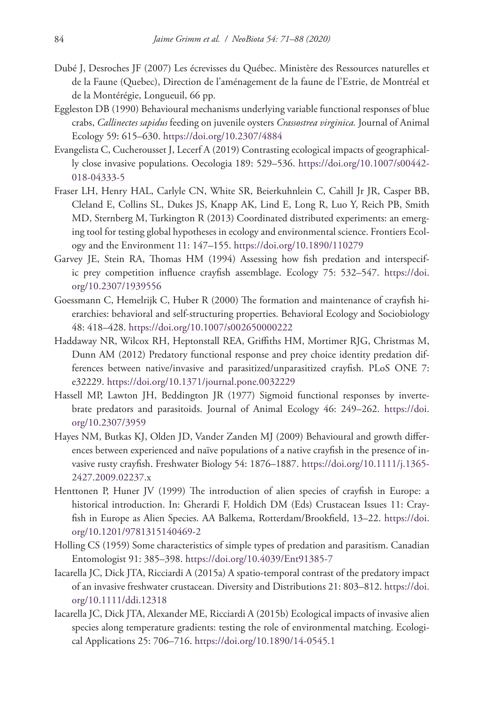- Dubé J, Desroches JF (2007) Les écrevisses du Québec. Ministère des Ressources naturelles et de la Faune (Quebec), Direction de l'aménagement de la faune de l'Estrie, de Montréal et de la Montérégie, Longueuil, 66 pp.
- Eggleston DB (1990) Behavioural mechanisms underlying variable functional responses of blue crabs, *Callinectes sapidus* feeding on juvenile oysters *Crassostrea virginica.* Journal of Animal Ecology 59: 615–630. <https://doi.org/10.2307/4884>
- Evangelista C, Cucherousset J, Lecerf A (2019) Contrasting ecological impacts of geographically close invasive populations. Oecologia 189: 529–536. [https://doi.org/10.1007/s00442-](https://doi.org/10.1007/s00442-018-04333-5) [018-04333-5](https://doi.org/10.1007/s00442-018-04333-5)
- Fraser LH, Henry HAL, Carlyle CN, White SR, Beierkuhnlein C, Cahill Jr JR, Casper BB, Cleland E, Collins SL, Dukes JS, Knapp AK, Lind E, Long R, Luo Y, Reich PB, Smith MD, Sternberg M, Turkington R (2013) Coordinated distributed experiments: an emerging tool for testing global hypotheses in ecology and environmental science. Frontiers Ecology and the Environment 11: 147–155.<https://doi.org/10.1890/110279>
- Garvey JE, Stein RA, Thomas HM (1994) Assessing how fish predation and interspecific prey competition influence crayfish assemblage. Ecology 75: 532–547. [https://doi.](https://doi.org/10.2307/1939556) [org/10.2307/1939556](https://doi.org/10.2307/1939556)
- Goessmann C, Hemelrijk C, Huber R (2000) The formation and maintenance of crayfish hierarchies: behavioral and self-structuring properties. Behavioral Ecology and Sociobiology 48: 418–428.<https://doi.org/10.1007/s002650000222>
- Haddaway NR, Wilcox RH, Heptonstall REA, Griffiths HM, Mortimer RJG, Christmas M, Dunn AM (2012) Predatory functional response and prey choice identity predation differences between native/invasive and parasitized/unparasitized crayfish. PLoS ONE 7: e32229.<https://doi.org/10.1371/journal.pone.0032229>
- Hassell MP, Lawton JH, Beddington JR (1977) Sigmoid functional responses by invertebrate predators and parasitoids. Journal of Animal Ecology 46: 249–262. [https://doi.](https://doi.org/10.2307/3959) [org/10.2307/3959](https://doi.org/10.2307/3959)
- Hayes NM, Butkas KJ, Olden JD, Vander Zanden MJ (2009) Behavioural and growth differences between experienced and naïve populations of a native crayfish in the presence of invasive rusty crayfish. Freshwater Biology 54: 1876–1887. [https://doi.org/10.1111/j.1365-](https://doi.org/10.1111/j.1365-2427.2009.02237.x) [2427.2009.02237.x](https://doi.org/10.1111/j.1365-2427.2009.02237.x)
- Henttonen P, Huner JV (1999) The introduction of alien species of crayfish in Europe: a historical introduction. In: Gherardi F, Holdich DM (Eds) Crustacean Issues 11: Crayfish in Europe as Alien Species. AA Balkema, Rotterdam/Brookfield, 13–22. [https://doi.](https://doi.org/10.1201/9781315140469-2) [org/10.1201/9781315140469-2](https://doi.org/10.1201/9781315140469-2)
- Holling CS (1959) Some characteristics of simple types of predation and parasitism. Canadian Entomologist 91: 385–398.<https://doi.org/10.4039/Ent91385-7>
- Iacarella JC, Dick JTA, Ricciardi A (2015a) A spatio-temporal contrast of the predatory impact of an invasive freshwater crustacean. Diversity and Distributions 21: 803–812. [https://doi.](https://doi.org/10.1111/ddi.12318) [org/10.1111/ddi.12318](https://doi.org/10.1111/ddi.12318)
- Iacarella JC, Dick JTA, Alexander ME, Ricciardi A (2015b) Ecological impacts of invasive alien species along temperature gradients: testing the role of environmental matching. Ecological Applications 25: 706–716.<https://doi.org/10.1890/14-0545.1>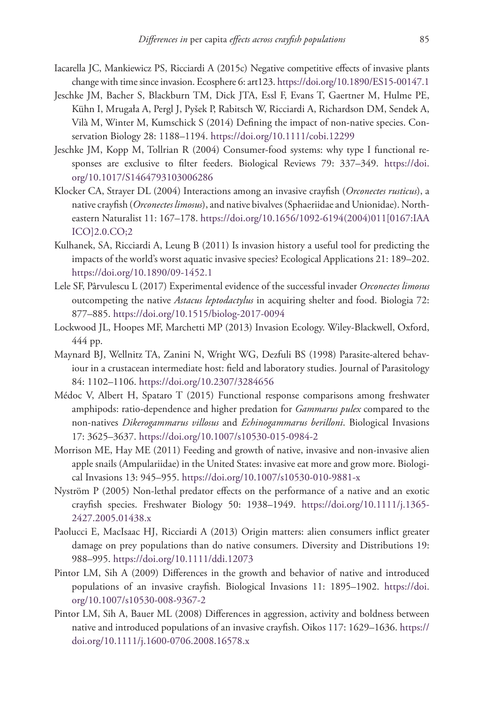- Iacarella JC, Mankiewicz PS, Ricciardi A (2015c) Negative competitive effects of invasive plants change with time since invasion. Ecosphere 6: art123.<https://doi.org/10.1890/ES15-00147.1>
- Jeschke JM, Bacher S, Blackburn TM, Dick JTA, Essl F, Evans T, Gaertner M, Hulme PE, Kühn I, Mrugała A, Pergl J, Pyšek P, Rabitsch W, Ricciardi A, Richardson DM, Sendek A, Vilà M, Winter M, Kumschick S (2014) Defining the impact of non-native species. Conservation Biology 28: 1188–1194. <https://doi.org/10.1111/cobi.12299>
- Jeschke JM, Kopp M, Tollrian R (2004) Consumer-food systems: why type I functional responses are exclusive to filter feeders. Biological Reviews 79: 337–349. [https://doi.](https://doi.org/10.1017/S1464793103006286) [org/10.1017/S1464793103006286](https://doi.org/10.1017/S1464793103006286)
- Klocker CA, Strayer DL (2004) Interactions among an invasive crayfish (*Orconectes rusticus*), a native crayfish (*Orconectes limosus*), and native bivalves (Sphaeriidae and Unionidae). Northeastern Naturalist 11: 167–178. [https://doi.org/10.1656/1092-6194\(2004\)011\[0167:IAA](https://doi.org/10.1656/1092-6194(2004)011%5B0167:IAAICO%5D2.0.CO;2) [ICO\]2.0.CO;2](https://doi.org/10.1656/1092-6194(2004)011%5B0167:IAAICO%5D2.0.CO;2)
- Kulhanek, SA, Ricciardi A, Leung B (2011) Is invasion history a useful tool for predicting the impacts of the world's worst aquatic invasive species? Ecological Applications 21: 189–202. <https://doi.org/10.1890/09-1452.1>
- Lele SF, Pârvulescu L (2017) Experimental evidence of the successful invader *Orconectes limosus*  outcompeting the native *Astacus leptodactylus* in acquiring shelter and food. Biologia 72: 877–885.<https://doi.org/10.1515/biolog-2017-0094>
- Lockwood JL, Hoopes MF, Marchetti MP (2013) Invasion Ecology. Wiley-Blackwell, Oxford, 444 pp.
- Maynard BJ, Wellnitz TA, Zanini N, Wright WG, Dezfuli BS (1998) Parasite-altered behaviour in a crustacean intermediate host: field and laboratory studies. Journal of Parasitology 84: 1102–1106.<https://doi.org/10.2307/3284656>
- Médoc V, Albert H, Spataro T (2015) Functional response comparisons among freshwater amphipods: ratio-dependence and higher predation for *Gammarus pulex* compared to the non-natives *Dikerogammarus villosus* and *Echinogammarus berilloni*. Biological Invasions 17: 3625–3637.<https://doi.org/10.1007/s10530-015-0984-2>
- Morrison ME, Hay ME (2011) Feeding and growth of native, invasive and non-invasive alien apple snails (Ampulariidae) in the United States: invasive eat more and grow more. Biological Invasions 13: 945–955. <https://doi.org/10.1007/s10530-010-9881-x>
- Nyström P (2005) Non-lethal predator effects on the performance of a native and an exotic crayfish species. Freshwater Biology 50: 1938–1949. [https://doi.org/10.1111/j.1365-](https://doi.org/10.1111/j.1365-2427.2005.01438.x) [2427.2005.01438.x](https://doi.org/10.1111/j.1365-2427.2005.01438.x)
- Paolucci E, MacIsaac HJ, Ricciardi A (2013) Origin matters: alien consumers inflict greater damage on prey populations than do native consumers. Diversity and Distributions 19: 988–995.<https://doi.org/10.1111/ddi.12073>
- Pintor LM, Sih A (2009) Differences in the growth and behavior of native and introduced populations of an invasive crayfish. Biological Invasions 11: 1895–1902. [https://doi.](https://doi.org/10.1007/s10530-008-9367-2) [org/10.1007/s10530-008-9367-2](https://doi.org/10.1007/s10530-008-9367-2)
- Pintor LM, Sih A, Bauer ML (2008) Differences in aggression, activity and boldness between native and introduced populations of an invasive crayfish. Oikos 117: 1629–1636. [https://](https://doi.org/10.1111/j.1600-0706.2008.16578.x) [doi.org/10.1111/j.1600-0706.2008.16578.x](https://doi.org/10.1111/j.1600-0706.2008.16578.x)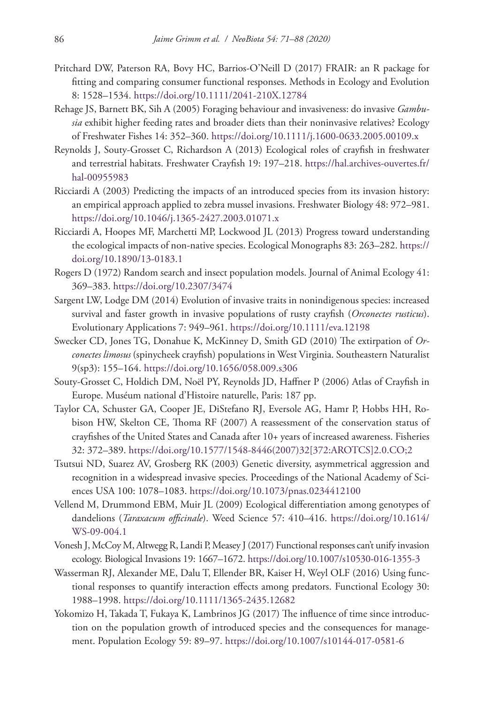- Pritchard DW, Paterson RA, Bovy HC, Barrios-O'Neill D (2017) FRAIR: an R package for fitting and comparing consumer functional responses. Methods in Ecology and Evolution 8: 1528–1534.<https://doi.org/10.1111/2041-210X.12784>
- Rehage JS, Barnett BK, Sih A (2005) Foraging behaviour and invasiveness: do invasive *Gambusia* exhibit higher feeding rates and broader diets than their noninvasive relatives? Ecology of Freshwater Fishes 14: 352–360.<https://doi.org/10.1111/j.1600-0633.2005.00109.x>
- Reynolds J, Souty-Grosset C, Richardson A (2013) Ecological roles of crayfish in freshwater and terrestrial habitats. Freshwater Crayfish 19: 197–218. [https://hal.archives-ouvertes.fr/](https://hal.archives-ouvertes.fr/hal-00955983) [hal-00955983](https://hal.archives-ouvertes.fr/hal-00955983)
- Ricciardi A (2003) Predicting the impacts of an introduced species from its invasion history: an empirical approach applied to zebra mussel invasions. Freshwater Biology 48: 972–981. <https://doi.org/10.1046/j.1365-2427.2003.01071.x>
- Ricciardi A, Hoopes MF, Marchetti MP, Lockwood JL (2013) Progress toward understanding the ecological impacts of non-native species. Ecological Monographs 83: 263–282. [https://](https://doi.org/10.1890/13-0183.1) [doi.org/10.1890/13-0183.1](https://doi.org/10.1890/13-0183.1)
- Rogers D (1972) Random search and insect population models. Journal of Animal Ecology 41: 369–383.<https://doi.org/10.2307/3474>
- Sargent LW, Lodge DM (2014) Evolution of invasive traits in nonindigenous species: increased survival and faster growth in invasive populations of rusty crayfish (*Orconectes rusticus*). Evolutionary Applications 7: 949–961. <https://doi.org/10.1111/eva.12198>
- Swecker CD, Jones TG, Donahue K, McKinney D, Smith GD (2010) The extirpation of *Orconectes limosus* (spinycheek crayfish) populations in West Virginia. Southeastern Naturalist 9(sp3): 155–164.<https://doi.org/10.1656/058.009.s306>
- Souty-Grosset C, Holdich DM, Noël PY, Reynolds JD, Haffner P (2006) Atlas of Crayfish in Europe. Muséum national d'Histoire naturelle, Paris: 187 pp.
- Taylor CA, Schuster GA, Cooper JE, DiStefano RJ, Eversole AG, Hamr P, Hobbs HH, Robison HW, Skelton CE, Thoma RF (2007) A reassessment of the conservation status of crayfishes of the United States and Canada after 10+ years of increased awareness. Fisheries 32: 372–389. [https://doi.org/10.1577/1548-8446\(2007\)32\[372:AROTCS\]2.0.CO;2](https://doi.org/10.1577/1548-8446(2007)32%5B372:AROTCS%5D2.0.CO;2)
- Tsutsui ND, Suarez AV, Grosberg RK (2003) Genetic diversity, asymmetrical aggression and recognition in a widespread invasive species. Proceedings of the National Academy of Sciences USA 100: 1078–1083.<https://doi.org/10.1073/pnas.0234412100>
- Vellend M, Drummond EBM, Muir JL (2009) Ecological differentiation among genotypes of dandelions (*Taraxacum officinale*). Weed Science 57: 410–416. [https://doi.org/10.1614/](https://doi.org/10.1614/WS-09-004.1) [WS-09-004.1](https://doi.org/10.1614/WS-09-004.1)
- Vonesh J, McCoy M, Altwegg R, Landi P, Measey J (2017) Functional responses can't unify invasion ecology. Biological Invasions 19: 1667–1672. <https://doi.org/10.1007/s10530-016-1355-3>
- Wasserman RJ, Alexander ME, Dalu T, Ellender BR, Kaiser H, Weyl OLF (2016) Using functional responses to quantify interaction effects among predators. Functional Ecology 30: 1988–1998.<https://doi.org/10.1111/1365-2435.12682>
- Yokomizo H, Takada T, Fukaya K, Lambrinos JG (2017) The influence of time since introduction on the population growth of introduced species and the consequences for management. Population Ecology 59: 89–97. <https://doi.org/10.1007/s10144-017-0581-6>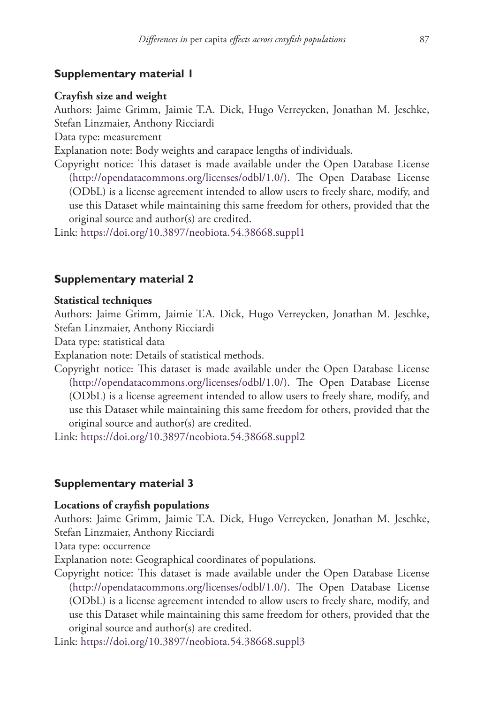# **Supplementary material 1**

#### **Crayfish size and weight**

Authors: Jaime Grimm, Jaimie T.A. Dick, Hugo Verreycken, Jonathan M. Jeschke, Stefan Linzmaier, Anthony Ricciardi

Data type: measurement

Explanation note: Body weights and carapace lengths of individuals.

Copyright notice: This dataset is made available under the Open Database License [\(http://opendatacommons.org/licenses/odbl/1.0/](http://opendatacommons.org/licenses/odbl/1.0/)). The Open Database License (ODbL) is a license agreement intended to allow users to freely share, modify, and use this Dataset while maintaining this same freedom for others, provided that the original source and author(s) are credited.

Link: <https://doi.org/10.3897/neobiota.54.38668.suppl1>

## **Supplementary material 2**

#### **Statistical techniques**

Authors: Jaime Grimm, Jaimie T.A. Dick, Hugo Verreycken, Jonathan M. Jeschke, Stefan Linzmaier, Anthony Ricciardi

Data type: statistical data

Explanation note: Details of statistical methods.

Copyright notice: This dataset is made available under the Open Database License [\(http://opendatacommons.org/licenses/odbl/1.0/](http://opendatacommons.org/licenses/odbl/1.0/)). The Open Database License (ODbL) is a license agreement intended to allow users to freely share, modify, and use this Dataset while maintaining this same freedom for others, provided that the original source and author(s) are credited.

Link: <https://doi.org/10.3897/neobiota.54.38668.suppl2>

## **Supplementary material 3**

# **Locations of crayfish populations**

Authors: Jaime Grimm, Jaimie T.A. Dick, Hugo Verreycken, Jonathan M. Jeschke, Stefan Linzmaier, Anthony Ricciardi

Data type: occurrence

Explanation note: Geographical coordinates of populations.

Copyright notice: This dataset is made available under the Open Database License [\(http://opendatacommons.org/licenses/odbl/1.0/](http://opendatacommons.org/licenses/odbl/1.0/)). The Open Database License (ODbL) is a license agreement intended to allow users to freely share, modify, and use this Dataset while maintaining this same freedom for others, provided that the original source and author(s) are credited.

Link: <https://doi.org/10.3897/neobiota.54.38668.suppl3>